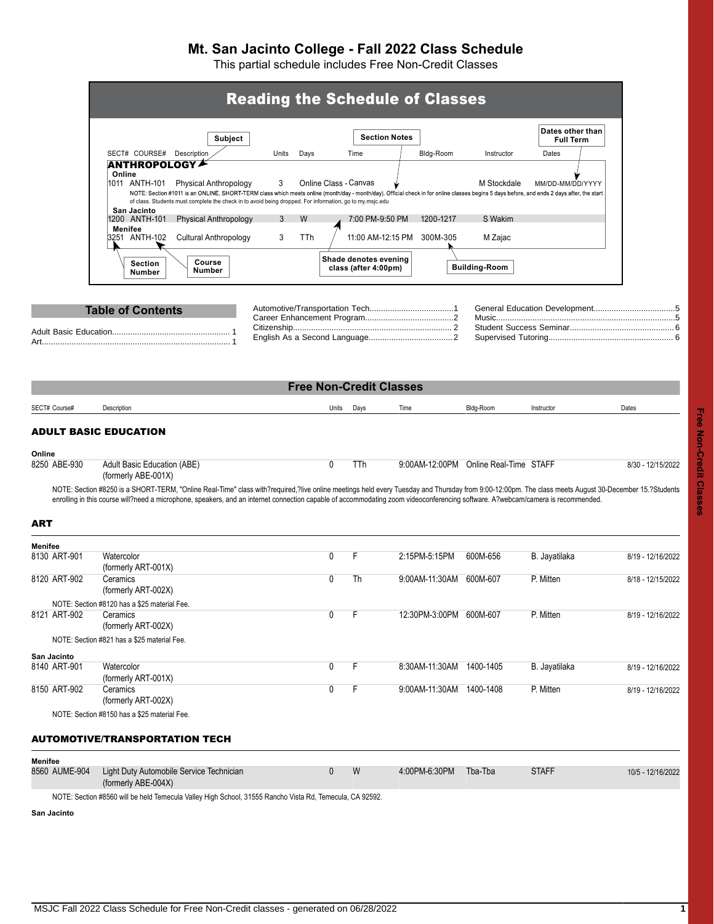## **Mt. San Jacinto College - Fall 2022 Class Schedule**

This partial schedule includes Free Non-Credit Classes

<span id="page-0-0"></span>

|                         |                                                                                                                                                                                                                                                                                                        |               |                       |                                | <b>Reading the Schedule of Classes</b> |                                       |                                      |                   |
|-------------------------|--------------------------------------------------------------------------------------------------------------------------------------------------------------------------------------------------------------------------------------------------------------------------------------------------------|---------------|-----------------------|--------------------------------|----------------------------------------|---------------------------------------|--------------------------------------|-------------------|
|                         |                                                                                                                                                                                                                                                                                                        |               |                       |                                |                                        |                                       |                                      |                   |
|                         | Subject                                                                                                                                                                                                                                                                                                |               |                       | <b>Section Notes</b>           |                                        |                                       | Dates other than<br><b>Full Term</b> |                   |
|                         | SECT# COURSE# Description                                                                                                                                                                                                                                                                              | Units<br>Days |                       | Time                           | Bldg-Room                              | Instructor                            | Dates                                |                   |
|                         | <b>ANTHROPOLOGY</b><br>Online<br>1011 ANTH-101<br>Physical Anthropology                                                                                                                                                                                                                                | 3             | Online Class - Canvas |                                |                                        | M Stockdale                           | MM/DD-MM/DD/YYYY                     |                   |
|                         | NOTE: Section #1011 is an ONLINE, SHORT-TERM class which meets online (month/day - month/day). Official check in for online classes begins 5 days before, and ends 2 days after, the start<br>of class. Students must complete the check in to avoid being dropped. For information, go to my.msjc.edu |               |                       |                                |                                        |                                       |                                      |                   |
|                         | San Jacinto<br>1200 ANTH-101<br><b>Physical Anthropology</b>                                                                                                                                                                                                                                           | 3<br>W        |                       | 7:00 PM-9:50 PM                | 1200-1217                              | S Wakim                               |                                      |                   |
|                         | Menifee<br><b>Cultural Anthropology</b><br>3251 ANTH-102                                                                                                                                                                                                                                               | 3<br>TTh      |                       | 11:00 AM-12:15 PM              | 300M-305                               | M Zajac                               |                                      |                   |
|                         |                                                                                                                                                                                                                                                                                                        |               |                       | Shade denotes evening          |                                        |                                       |                                      |                   |
|                         | Course<br><b>Section</b><br>Number<br>Number                                                                                                                                                                                                                                                           |               |                       | class (after 4:00pm)           |                                        | <b>Building-Room</b>                  |                                      |                   |
|                         | <b>Table of Contents</b>                                                                                                                                                                                                                                                                               |               |                       |                                |                                        |                                       |                                      |                   |
|                         |                                                                                                                                                                                                                                                                                                        |               |                       |                                |                                        |                                       |                                      |                   |
|                         |                                                                                                                                                                                                                                                                                                        |               |                       |                                |                                        |                                       |                                      |                   |
|                         |                                                                                                                                                                                                                                                                                                        |               |                       |                                |                                        |                                       |                                      |                   |
|                         |                                                                                                                                                                                                                                                                                                        |               |                       | <b>Free Non-Credit Classes</b> |                                        |                                       |                                      |                   |
|                         |                                                                                                                                                                                                                                                                                                        |               |                       |                                |                                        |                                       |                                      |                   |
| SECT# Course#           | Description                                                                                                                                                                                                                                                                                            |               | Units                 | Days                           | Time                                   | Bldg-Room                             | Instructor                           | Dates             |
| Online<br>8250 ABE-930  | Adult Basic Education (ABE)<br>(formerly ABE-001X)<br>NOTE: Section #8250 is a SHORT-TERM, "Online Real-Time" class with?required,?live online meetings held every Tuesday and Thursday from 9:00-12:00pm. The class meets August 30-December 15.?Students                                             |               | $\mathbf{0}$          | <b>TTh</b>                     |                                        | 9:00AM-12:00PM Online Real-Time STAFF |                                      | 8/30 - 12/15/2022 |
| <b>ART</b>              | enrolling in this course will?need a microphone, speakers, and an internet connection capable of accommodating zoom videoconferencing software. A?webcam/camera is recommended.                                                                                                                        |               |                       |                                |                                        |                                       |                                      |                   |
|                         |                                                                                                                                                                                                                                                                                                        |               |                       |                                |                                        |                                       |                                      |                   |
| Menifee<br>8130 ART-901 | Watercolor<br>(formerly ART-001X)                                                                                                                                                                                                                                                                      |               | $\mathbf{0}$          | F.                             | 2:15PM-5:15PM                          | 600M-656                              | B. Jayatilaka                        | 8/19 - 12/16/2022 |
| 8120 ART-902            | Ceramics<br>(formerly ART-002X)                                                                                                                                                                                                                                                                        |               | $\mathbf{0}$          | Th                             | 9.00AM-11.30AM                         | 600M-607                              | P. Mitten                            | 8/18 - 12/15/2022 |
| 8121 ART-902            | NOTE: Section #8120 has a \$25 material Fee.<br>Ceramics<br>(formerly ART-002X)                                                                                                                                                                                                                        |               | 0                     | F                              | 12:30PM-3:00PM 600M-607                |                                       | P. Mitten                            | 8/19 - 12/16/2022 |
|                         | NOTE: Section #821 has a \$25 material Fee.                                                                                                                                                                                                                                                            |               |                       |                                |                                        |                                       |                                      |                   |
| San Jacinto             |                                                                                                                                                                                                                                                                                                        |               | 0                     | F                              |                                        | 1400-1405                             |                                      |                   |
| 8140 ART-901            | Watercolor<br>(formerly ART-001X)                                                                                                                                                                                                                                                                      |               |                       |                                | 8:30AM-11:30AM                         |                                       | B. Jayatilaka                        | 8/19 - 12/16/2022 |
| 8150 ART-902            | Ceramics<br>(formerly ART-002X)                                                                                                                                                                                                                                                                        |               | 0                     | F                              | 9.00AM-11:30AM 1400-1408               |                                       | P. Mitten                            | 8/19 - 12/16/2022 |
|                         | NOTE: Section #8150 has a \$25 material Fee.                                                                                                                                                                                                                                                           |               |                       |                                |                                        |                                       |                                      |                   |
|                         | <b>AUTOMOTIVE/TRANSPORTATION TECH</b>                                                                                                                                                                                                                                                                  |               |                       |                                |                                        |                                       |                                      |                   |
| <b>Menifee</b>          |                                                                                                                                                                                                                                                                                                        |               |                       |                                |                                        |                                       |                                      |                   |
| 8560 AUME-904           | Light Duty Automobile Service Technician<br>(formerly ABE-004X)                                                                                                                                                                                                                                        |               | $\mathbf 0$           | W                              | 4.00PM-6.30PM                          | Tba-Tba                               | <b>STAFF</b>                         | 10/5 - 12/16/2022 |

<span id="page-0-2"></span><span id="page-0-1"></span>NOTE: Section #8560 will be held Temecula Valley High School, 31555 Rancho Vista Rd, Temecula, CA 92592.

**San Jacinto**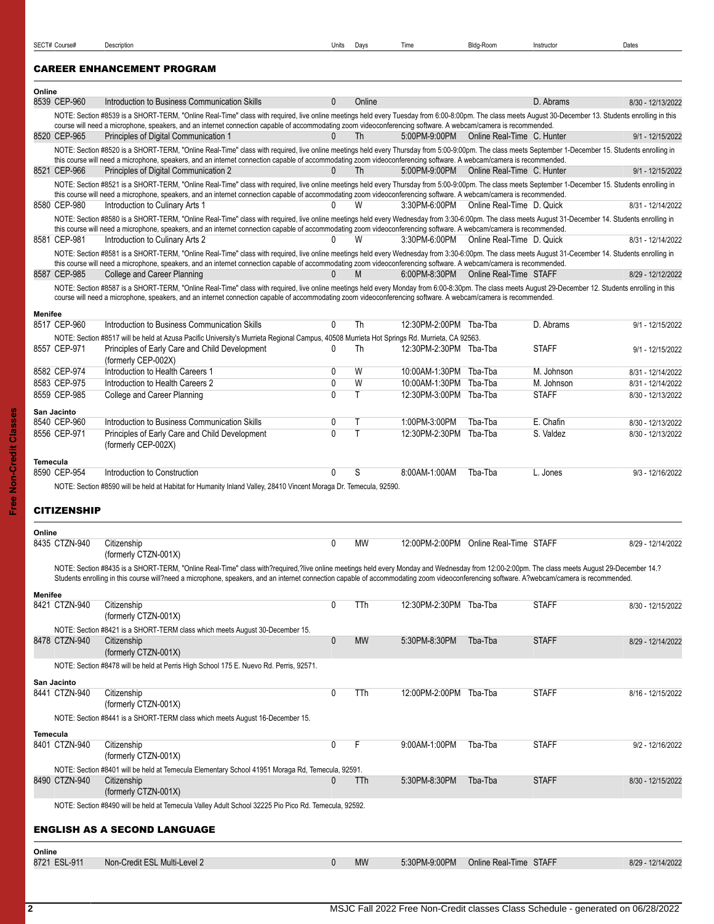## <span id="page-1-0"></span>CAREER ENHANCEMENT PROGRAM

<span id="page-1-2"></span><span id="page-1-1"></span>

| Online          |                              |                                                                                                                                                                                                                                                                                                                                                                             |                   |           |                                 |                                              |                        |                                        |
|-----------------|------------------------------|-----------------------------------------------------------------------------------------------------------------------------------------------------------------------------------------------------------------------------------------------------------------------------------------------------------------------------------------------------------------------------|-------------------|-----------|---------------------------------|----------------------------------------------|------------------------|----------------------------------------|
|                 | 8539 CEP-960                 | Introduction to Business Communication Skills                                                                                                                                                                                                                                                                                                                               | $\mathbf{0}$      | Online    |                                 |                                              | D. Abrams              | 8/30 - 12/13/2022                      |
|                 |                              | NOTE: Section #8539 is a SHORT-TERM, "Online Real-Time" class with required, live online meetings held every Tuesday from 6:00-8:00pm. The class meets August 30-December 13. Students enrolling in this<br>course will need a microphone, speakers, and an internet connection capable of accommodating zoom videoconferencing software. A webcam/camera is recommended.   |                   |           |                                 |                                              |                        |                                        |
|                 | 8520 CEP-965                 | Principles of Digital Communication 1                                                                                                                                                                                                                                                                                                                                       | $\mathbf{0}$      | Th        | 5:00PM-9:00PM                   | Online Real-Time C. Hunter                   |                        | 9/1 - 12/15/2022                       |
|                 |                              | NOTE: Section #8520 is a SHORT-TERM, "Online Real-Time" class with required, live online meetings held every Thursday from 5:00-9:00pm. The class meets September 1-December 15. Students enrolling in                                                                                                                                                                      |                   |           |                                 |                                              |                        |                                        |
|                 | 8521 CEP-966                 | this course will need a microphone, speakers, and an internet connection capable of accommodating zoom videoconferencing software. A webcam/camera is recommended.<br>Principles of Digital Communication 2                                                                                                                                                                 | $\mathbf{0}$      | Th        |                                 | 5:00PM-9:00PM   Online Real-Time   C. Hunter |                        | 9/1 - 12/15/2022                       |
|                 |                              | NOTE: Section #8521 is a SHORT-TERM, "Online Real-Time" class with required, live online meetings held every Thursday from 5:00-9:00pm. The class meets September 1-December 15. Students enrolling in                                                                                                                                                                      |                   |           |                                 |                                              |                        |                                        |
|                 |                              | this course will need a microphone, speakers, and an internet connection capable of accommodating zoom videoconferencing software. A webcam/camera is recommended.                                                                                                                                                                                                          |                   |           |                                 |                                              |                        |                                        |
|                 | 8580 CEP-980                 | Introduction to Culinary Arts 1                                                                                                                                                                                                                                                                                                                                             | 0                 | W         |                                 | 3:30PM-6:00PM Online Real-Time D. Quick      |                        | 8/31 - 12/14/2022                      |
|                 |                              | NOTE: Section #8580 is a SHORT-TERM, "Online Real-Time" class with required, live online meetings held every Wednesday from 3:30-6:00pm. The class meets August 31-December 14. Students enrolling in<br>this course will need a microphone, speakers, and an internet connection capable of accommodating zoom videoconferencing software. A webcam/camera is recommended. |                   |           |                                 |                                              |                        |                                        |
|                 | 8581 CEP-981                 | Introduction to Culinary Arts 2                                                                                                                                                                                                                                                                                                                                             | 0                 | W         | 3:30PM-6:00PM                   | Online Real-Time D. Quick                    |                        | 8/31 - 12/14/2022                      |
|                 |                              | NOTE: Section #8581 is a SHORT-TERM, "Online Real-Time" class with required, live online meetings held every Wednesday from 3:30-6:00pm. The class meets August 31-Cecember 14. Students enrolling in                                                                                                                                                                       |                   |           |                                 |                                              |                        |                                        |
|                 | 8587 CEP-985                 | this course will need a microphone, speakers, and an internet connection capable of accommodating zoom videoconferencing software. A webcam/camera is recommended.<br>College and Career Planning                                                                                                                                                                           | <sup>n</sup>      | M         | 6:00PM-8:30PM                   | Online Real-Time STAFF                       |                        | 8/29 - 12/12/2022                      |
|                 |                              | NOTE: Section #8587 is a SHORT-TERM, "Online Real-Time" class with required, live online meetings held every Monday from 6:00-8:30pm. The class meets August 29-December 12. Students enrolling in this                                                                                                                                                                     |                   |           |                                 |                                              |                        |                                        |
|                 |                              | course will need a microphone, speakers, and an internet connection capable of accommodating zoom videoconferencing software. A webcam/camera is recommended.                                                                                                                                                                                                               |                   |           |                                 |                                              |                        |                                        |
| Menifee         |                              |                                                                                                                                                                                                                                                                                                                                                                             |                   |           |                                 |                                              |                        |                                        |
|                 | 8517 CEP-960                 | Introduction to Business Communication Skills                                                                                                                                                                                                                                                                                                                               | 0                 | Th        | 12:30PM-2:00PM Tba-Tba          |                                              | D. Abrams              | 9/1 - 12/15/2022                       |
|                 | 8557 CEP-971                 | NOTE: Section #8517 will be held at Azusa Pacific University's Murrieta Regional Campus, 40508 Murrieta Hot Springs Rd. Murrieta, CA 92563.<br>Principles of Early Care and Child Development                                                                                                                                                                               | 0                 | Th        | 12:30PM-2:30PM Tba-Tba          |                                              | <b>STAFF</b>           |                                        |
|                 |                              | (formerly CEP-002X)                                                                                                                                                                                                                                                                                                                                                         |                   |           |                                 |                                              |                        | 9/1 - 12/15/2022                       |
|                 | 8582 CEP-974                 | Introduction to Health Careers 1                                                                                                                                                                                                                                                                                                                                            | 0                 | W         | 10:00AM-1:30PM Tba-Tba          |                                              | M. Johnson             | 8/31 - 12/14/2022                      |
|                 | 8583 CEP-975                 | Introduction to Health Careers 2                                                                                                                                                                                                                                                                                                                                            | $\mathbf 0$       | W         | 10:00AM-1:30PM                  | Tba-Tba                                      | M. Johnson             | 8/31 - 12/14/2022                      |
|                 | 8559 CEP-985                 | College and Career Planning                                                                                                                                                                                                                                                                                                                                                 | $\mathbf{0}$      | Τ         | 12:30PM-3:00PM Tba-Tba          |                                              | <b>STAFF</b>           | 8/30 - 12/13/2022                      |
|                 | San Jacinto                  |                                                                                                                                                                                                                                                                                                                                                                             |                   |           |                                 |                                              |                        |                                        |
|                 | 8540 CEP-960<br>8556 CEP-971 | Introduction to Business Communication Skills<br>Principles of Early Care and Child Development                                                                                                                                                                                                                                                                             | 0<br>$\mathbf{0}$ | Τ<br>T    | 1:00PM-3:00PM<br>12:30PM-2:30PM | Tba-Tba<br>Tba-Tba                           | E. Chafin<br>S. Valdez | 8/30 - 12/13/2022<br>8/30 - 12/13/2022 |
|                 |                              | (formerly CEP-002X)                                                                                                                                                                                                                                                                                                                                                         |                   |           |                                 |                                              |                        |                                        |
|                 |                              |                                                                                                                                                                                                                                                                                                                                                                             |                   |           |                                 |                                              |                        |                                        |
| <b>Temecula</b> |                              |                                                                                                                                                                                                                                                                                                                                                                             |                   |           |                                 |                                              |                        |                                        |
|                 | 8590 CEP-954                 | Introduction to Construction                                                                                                                                                                                                                                                                                                                                                | $\mathbf{0}$      | S         | 8:00AM-1:00AM                   | Tba-Tba                                      | L. Jones               | 9/3 - 12/16/2022                       |
|                 |                              | NOTE: Section #8590 will be held at Habitat for Humanity Inland Valley, 28410 Vincent Moraga Dr. Temecula, 92590.                                                                                                                                                                                                                                                           |                   |           |                                 |                                              |                        |                                        |
|                 |                              |                                                                                                                                                                                                                                                                                                                                                                             |                   |           |                                 |                                              |                        |                                        |
|                 | <b>CITIZENSHIP</b>           |                                                                                                                                                                                                                                                                                                                                                                             |                   |           |                                 |                                              |                        |                                        |
| Online          |                              |                                                                                                                                                                                                                                                                                                                                                                             |                   |           |                                 |                                              |                        |                                        |
|                 | 8435 CTZN-940                | Citizenship<br>(formerly CTZN-001X)                                                                                                                                                                                                                                                                                                                                         | 0                 | MW        |                                 | 12:00PM-2:00PM Online Real-Time STAFF        |                        | 8/29 - 12/14/2022                      |
|                 |                              | NOTE: Section #8435 is a SHORT-TERM, "Online Real-Time" class with?required,?live online meetings held every Monday and Wednesday from 12:00-2:00pm. The class meets August 29-December 14.?                                                                                                                                                                                |                   |           |                                 |                                              |                        |                                        |
|                 |                              | Students enrolling in this course will?need a microphone, speakers, and an internet connection capable of accommodating zoom videoconferencing software. A?webcam/camera is recommended.                                                                                                                                                                                    |                   |           |                                 |                                              |                        |                                        |
| Menifee         |                              |                                                                                                                                                                                                                                                                                                                                                                             |                   |           |                                 |                                              |                        |                                        |
|                 | 8421 CTZN-940                | Citizenship                                                                                                                                                                                                                                                                                                                                                                 | $\Omega$          | TTh       | 12:30PM-2:30PM Tba-Tba          |                                              | <b>STAFF</b>           | 8/30 - 12/15/2022                      |
|                 |                              | (formerly CTZN-001X)                                                                                                                                                                                                                                                                                                                                                        |                   |           |                                 |                                              |                        |                                        |
|                 | 8478 CTZN-940                | NOTE: Section #8421 is a SHORT-TERM class which meets August 30-December 15.<br>Citizenship                                                                                                                                                                                                                                                                                 | $\boldsymbol{0}$  | <b>MW</b> | 5:30PM-8:30PM                   | Tba-Tba                                      | <b>STAFF</b>           | 8/29 - 12/14/2022                      |
|                 |                              | (formerly CTZN-001X)                                                                                                                                                                                                                                                                                                                                                        |                   |           |                                 |                                              |                        |                                        |
|                 |                              | NOTE: Section #8478 will be held at Perris High School 175 E. Nuevo Rd. Perris, 92571.                                                                                                                                                                                                                                                                                      |                   |           |                                 |                                              |                        |                                        |
|                 | San Jacinto                  |                                                                                                                                                                                                                                                                                                                                                                             |                   |           |                                 |                                              |                        |                                        |
|                 | 8441 CTZN-940                | Citizenship                                                                                                                                                                                                                                                                                                                                                                 | 0                 | TTh       | 12:00PM-2:00PM Tba-Tba          |                                              | <b>STAFF</b>           | 8/16 - 12/15/2022                      |
|                 |                              | (formerly CTZN-001X)<br>NOTE: Section #8441 is a SHORT-TERM class which meets August 16-December 15.                                                                                                                                                                                                                                                                        |                   |           |                                 |                                              |                        |                                        |
|                 |                              |                                                                                                                                                                                                                                                                                                                                                                             |                   |           |                                 |                                              |                        |                                        |
| Temecula        | 8401 CTZN-940                | Citizenship                                                                                                                                                                                                                                                                                                                                                                 | 0                 | F         | 9:00AM-1:00PM                   | Tba-Tba                                      | <b>STAFF</b>           | 9/2 - 12/16/2022                       |
|                 |                              | (formerly CTZN-001X)                                                                                                                                                                                                                                                                                                                                                        |                   |           |                                 |                                              |                        |                                        |
|                 |                              | NOTE: Section #8401 will be held at Temecula Elementary School 41951 Moraga Rd, Temecula, 92591.                                                                                                                                                                                                                                                                            |                   |           |                                 |                                              |                        |                                        |
|                 | 8490 CTZN-940                | Citizenship                                                                                                                                                                                                                                                                                                                                                                 | $\mathbf{0}$      | TTh       | 5:30PM-8:30PM                   | Tba-Tba                                      | <b>STAFF</b>           | 8/30 - 12/15/2022                      |
|                 |                              | (formerly CTZN-001X)<br>NOTE: Section #8490 will be held at Temecula Valley Adult School 32225 Pio Pico Rd. Temecula, 92592.                                                                                                                                                                                                                                                |                   |           |                                 |                                              |                        |                                        |
|                 |                              |                                                                                                                                                                                                                                                                                                                                                                             |                   |           |                                 |                                              |                        |                                        |
|                 |                              | ENGLISH AS A SECOND LANGUAGE                                                                                                                                                                                                                                                                                                                                                |                   |           |                                 |                                              |                        |                                        |
| Online          |                              |                                                                                                                                                                                                                                                                                                                                                                             |                   |           |                                 |                                              |                        |                                        |
|                 | 8721 ESL-911                 | Non-Credit ESL Multi-Level 2                                                                                                                                                                                                                                                                                                                                                | $\mathbf{0}$      | <b>MW</b> | 5:30PM-9:00PM                   | Online Real-Time STAFF                       |                        | 8/29 - 12/14/2022                      |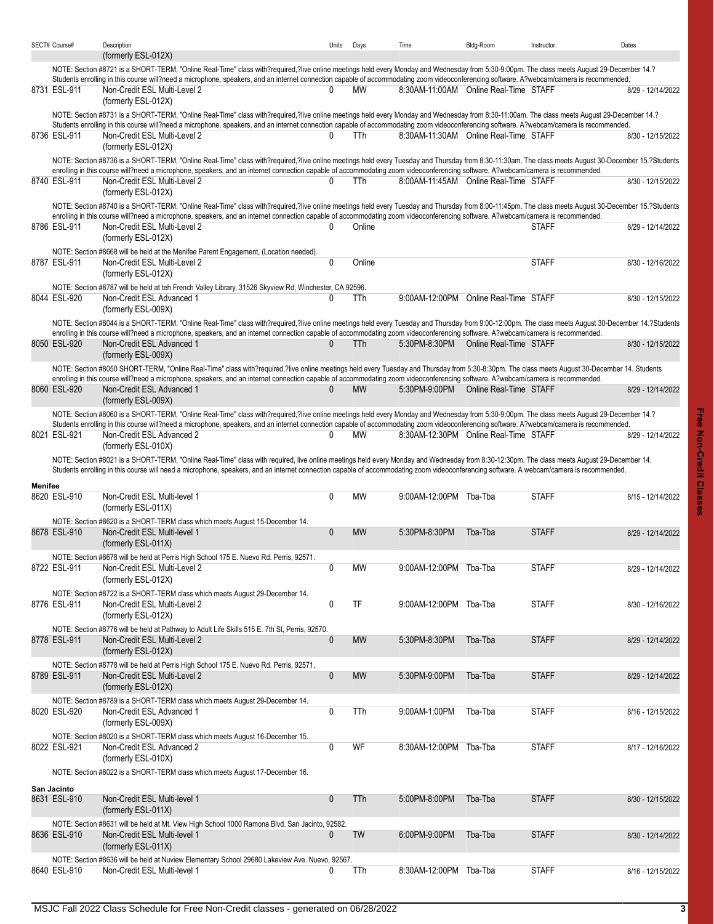|         | SECT# Course# | Description                                                                                                                                                                                                                                                                                                                                                                             | Units        | Days       | Time                                  | Bldg-Room              | Instructor   | Dates             |
|---------|---------------|-----------------------------------------------------------------------------------------------------------------------------------------------------------------------------------------------------------------------------------------------------------------------------------------------------------------------------------------------------------------------------------------|--------------|------------|---------------------------------------|------------------------|--------------|-------------------|
|         |               | (formerly ESL-012X)                                                                                                                                                                                                                                                                                                                                                                     |              |            |                                       |                        |              |                   |
|         |               | NOTE: Section #8721 is a SHORT-TERM, "Online Real-Time" class with?required,?live online meetings held every Monday and Wednesday from 5:30-9:00pm. The class meets August 29-December 14.?<br>Students enrolling in this course will?need a microphone, speakers, and an internet connection capable of accommodating zoom videoconferencing software. A?webcam/camera is recommended. |              |            |                                       |                        |              |                   |
|         | 8731 ESL-911  | Non-Credit ESL Multi-Level 2<br>(formerly ESL-012X)                                                                                                                                                                                                                                                                                                                                     | O.           | MW         | 8:30AM-11:00AM Online Real-Time STAFF |                        |              | 8/29 - 12/14/2022 |
|         |               | NOTE: Section #8731 is a SHORT-TERM, "Online Real-Time" class with?required,?live online meetings held every Monday and Wednesday from 8:30-11:00am. The class meets August 29-December 14.?                                                                                                                                                                                            |              |            |                                       |                        |              |                   |
|         |               | Students enrolling in this course will?need a microphone, speakers, and an internet connection capable of accommodating zoom videoconferencing software. A?webcam/camera is recommended.                                                                                                                                                                                                |              |            |                                       |                        |              |                   |
|         | 8736 ESL-911  | Non-Credit ESL Multi-Level 2                                                                                                                                                                                                                                                                                                                                                            | 0            | <b>TTh</b> | 8:30AM-11:30AM Online Real-Time STAFF |                        |              | 8/30 - 12/15/2022 |
|         |               | (formerly ESL-012X)                                                                                                                                                                                                                                                                                                                                                                     |              |            |                                       |                        |              |                   |
|         |               | NOTE: Section #8736 is a SHORT-TERM, "Online Real-Time" class with?required,?live online meetings held every Tuesday and Thursday from 8:30-11:30am. The class meets August 30-December 15.?Students                                                                                                                                                                                    |              |            |                                       |                        |              |                   |
|         |               | enrolling in this course will?need a microphone, speakers, and an internet connection capable of accommodating zoom videoconferencing software. A?webcam/camera is recommended.                                                                                                                                                                                                         |              |            |                                       |                        |              |                   |
|         | 8740 ESL-911  | Non-Credit ESL Multi-Level 2                                                                                                                                                                                                                                                                                                                                                            | 0            | TTh        | 8:00AM-11:45AM Online Real-Time STAFF |                        |              | 8/30 - 12/15/2022 |
|         |               | (formerly ESL-012X)                                                                                                                                                                                                                                                                                                                                                                     |              |            |                                       |                        |              |                   |
|         |               | NOTE: Section #8740 is a SHORT-TERM, "Online Real-Time" class with?required,?live online meetings held every Tuesday and Thursday from 8:00-11:45pm. The class meets August 30-December 15.?Students<br>enrolling in this course will?need a microphone, speakers, and an internet connection capable of accommodating zoom videoconferencing software. A?webcam/camera is recommended. |              |            |                                       |                        |              |                   |
|         | 8786 ESL-911  | Non-Credit ESL Multi-Level 2                                                                                                                                                                                                                                                                                                                                                            | 0            | Online     |                                       |                        | <b>STAFF</b> | 8/29 - 12/14/2022 |
|         |               | (formerly ESL-012X)                                                                                                                                                                                                                                                                                                                                                                     |              |            |                                       |                        |              |                   |
|         |               | NOTE: Section #8668 will be held at the Menifee Parent Engagement, (Location needed).                                                                                                                                                                                                                                                                                                   |              |            |                                       |                        |              |                   |
|         | 8787 ESL-911  | Non-Credit ESL Multi-Level 2                                                                                                                                                                                                                                                                                                                                                            | $\mathbf 0$  | Online     |                                       |                        | <b>STAFF</b> | 8/30 - 12/16/2022 |
|         |               | (formerly ESL-012X)                                                                                                                                                                                                                                                                                                                                                                     |              |            |                                       |                        |              |                   |
|         |               | NOTE: Section #8787 will be held at teh French Valley Library, 31526 Skyview Rd, Winchester, CA 92596.                                                                                                                                                                                                                                                                                  |              |            |                                       |                        |              |                   |
|         | 8044 ESL-920  | Non-Credit ESL Advanced 1                                                                                                                                                                                                                                                                                                                                                               | $\Omega$     | TTh        | 9:00AM-12:00PM Online Real-Time STAFF |                        |              | 8/30 - 12/15/2022 |
|         |               | (formerly ESL-009X)                                                                                                                                                                                                                                                                                                                                                                     |              |            |                                       |                        |              |                   |
|         |               | NOTE: Section #8044 is a SHORT-TERM, "Online Real-Time" class with?required,?live online meetings held every Tuesday and Thursday from 9:00-12:00pm. The class meets August 30-December 14.?Students                                                                                                                                                                                    |              |            |                                       |                        |              |                   |
|         | 8050 ESL-920  | enrolling in this course will?need a microphone, speakers, and an internet connection capable of accommodating zoom videoconferencing software. A?webcam/camera is recommended.                                                                                                                                                                                                         | 0            |            | 5:30PM-8:30PM                         |                        |              |                   |
|         |               | Non-Credit ESL Advanced 1<br>(formerly ESL-009X)                                                                                                                                                                                                                                                                                                                                        |              | <b>TTh</b> |                                       | Online Real-Time STAFF |              | 8/30 - 12/15/2022 |
|         |               | NOTE: Section #8050 SHORT-TERM, "Online Real-Time" class with?required,?live online meetings held every Tuesday and Thursday from 5:30-8:30pm. The class meets August 30-December 14. Students                                                                                                                                                                                          |              |            |                                       |                        |              |                   |
|         |               | enrolling in this course will?need a microphone, speakers, and an internet connection capable of accommodating zoom videoconferencing software. A?webcam/camera is recommended.                                                                                                                                                                                                         |              |            |                                       |                        |              |                   |
|         | 8060 ESL-920  | Non-Credit ESL Advanced 1                                                                                                                                                                                                                                                                                                                                                               | $\mathbf{0}$ | <b>MW</b>  | 5:30PM-9:00PM Online Real-Time STAFF  |                        |              | 8/29 - 12/14/2022 |
|         |               | (formerly ESL-009X)                                                                                                                                                                                                                                                                                                                                                                     |              |            |                                       |                        |              |                   |
|         |               | NOTE: Section #8060 is a SHORT-TERM, "Online Real-Time" class with?required,?live online meetings held every Monday and Wednesday from 5:30-9:00pm. The class meets August 29-December 14.?                                                                                                                                                                                             |              |            |                                       |                        |              |                   |
|         |               | Students enrolling in this course will?need a microphone, speakers, and an internet connection capable of accommodating zoom videoconferencing software. A?webcam/camera is recommended.                                                                                                                                                                                                |              |            |                                       |                        |              |                   |
|         | 8021 ESL-921  | Non-Credit ESL Advanced 2                                                                                                                                                                                                                                                                                                                                                               | 0            | MW         | 8:30AM-12:30PM Online Real-Time STAFF |                        |              | 8/29 - 12/14/2022 |
|         |               | (formerly ESL-010X)                                                                                                                                                                                                                                                                                                                                                                     |              |            |                                       |                        |              |                   |
|         |               | NOTE: Section #8021 is a SHORT-TERM, "Online Real-Time" class with required, live online meetings held every Monday and Wednesday from 8:30-12:30pm. The class meets August 29-December 14.<br>Students enrolling in this course will need a microphone, speakers, and an internet connection capable of accommodating zoom videoconferencing software. A webcam/camera is recommended. |              |            |                                       |                        |              |                   |
|         |               |                                                                                                                                                                                                                                                                                                                                                                                         |              |            |                                       |                        |              |                   |
| Menifee |               |                                                                                                                                                                                                                                                                                                                                                                                         | $\mathbf{0}$ |            |                                       |                        |              |                   |
|         | 8620 ESL-910  | Non-Credit ESL Multi-level 1<br>(formerly ESL-011X)                                                                                                                                                                                                                                                                                                                                     |              | <b>MW</b>  | 9:00AM-12:00PM Tba-Tba                |                        | <b>STAFF</b> | 8/15 - 12/14/2022 |
|         |               | NOTE: Section #8620 is a SHORT-TERM class which meets August 15-December 14.                                                                                                                                                                                                                                                                                                            |              |            |                                       |                        |              |                   |
|         | 8678 ESL-910  | Non-Credit ESL Multi-level 1                                                                                                                                                                                                                                                                                                                                                            | $\mathbf{0}$ | <b>MW</b>  | 5:30PM-8:30PM                         | Tba-Tba                | <b>STAFF</b> | 8/29 - 12/14/2022 |
|         |               | (formerly ESL-011X)                                                                                                                                                                                                                                                                                                                                                                     |              |            |                                       |                        |              |                   |
|         |               | NOTE: Section #8678 will be held at Perris High School 175 E. Nuevo Rd. Perris, 92571.                                                                                                                                                                                                                                                                                                  |              |            |                                       |                        |              |                   |
|         | 8722 ESL-911  | Non-Credit ESL Multi-Level 2                                                                                                                                                                                                                                                                                                                                                            | 0            | МW         | 9:00AM-12:00PM Tba-Tba                |                        | <b>STAFF</b> | 8/29 - 12/14/2022 |
|         |               | (formerly ESL-012X)                                                                                                                                                                                                                                                                                                                                                                     |              |            |                                       |                        |              |                   |
|         |               | NOTE: Section #8722 is a SHORT-TERM class which meets August 29-December 14.                                                                                                                                                                                                                                                                                                            |              |            |                                       |                        |              |                   |
|         | 8776 ESL-911  | Non-Credit ESL Multi-Level 2                                                                                                                                                                                                                                                                                                                                                            | $\mathbf 0$  | TF         | 9:00AM-12:00PM Tba-Tba                |                        | <b>STAFF</b> | 8/30 - 12/16/2022 |
|         |               | (formerly ESL-012X)                                                                                                                                                                                                                                                                                                                                                                     |              |            |                                       |                        |              |                   |
|         |               | NOTE: Section #8776 will be held at Pathway to Adult Life Skills 515 E. 7th St, Perris, 92570.                                                                                                                                                                                                                                                                                          |              |            |                                       |                        |              |                   |
|         | 8778 ESL-911  | Non-Credit ESL Multi-Level 2                                                                                                                                                                                                                                                                                                                                                            | $\pmb{0}$    | <b>MW</b>  | 5:30PM-8:30PM                         | Tba-Tba                | <b>STAFF</b> | 8/29 - 12/14/2022 |
|         |               | (formerly ESL-012X)                                                                                                                                                                                                                                                                                                                                                                     |              |            |                                       |                        |              |                   |
|         |               | NOTE: Section #8778 will be held at Perris High School 175 E. Nuevo Rd. Perris, 92571.                                                                                                                                                                                                                                                                                                  |              |            |                                       |                        |              |                   |
|         | 8789 ESL-911  | Non-Credit ESL Multi-Level 2                                                                                                                                                                                                                                                                                                                                                            | $\pmb{0}$    | <b>MW</b>  | 5:30PM-9:00PM                         | Tba-Tba                | <b>STAFF</b> | 8/29 - 12/14/2022 |
|         |               | (formerly ESL-012X)                                                                                                                                                                                                                                                                                                                                                                     |              |            |                                       |                        |              |                   |
|         |               | NOTE: Section #8789 is a SHORT-TERM class which meets August 29-December 14.                                                                                                                                                                                                                                                                                                            |              |            |                                       |                        |              |                   |
|         | 8020 ESL-920  | Non-Credit ESL Advanced 1<br>(formerly ESL-009X)                                                                                                                                                                                                                                                                                                                                        | 0            | TTh        | 9:00AM-1:00PM                         | Tba-Tba                | <b>STAFF</b> | 8/16 - 12/15/2022 |
|         |               |                                                                                                                                                                                                                                                                                                                                                                                         |              |            |                                       |                        |              |                   |
|         | 8022 ESL-921  | NOTE: Section #8020 is a SHORT-TERM class which meets August 16-December 15.<br>Non-Credit ESL Advanced 2                                                                                                                                                                                                                                                                               | 0            | WF         | 8:30AM-12:00PM Tba-Tba                |                        | <b>STAFF</b> | 8/17 - 12/16/2022 |
|         |               | (formerly ESL-010X)                                                                                                                                                                                                                                                                                                                                                                     |              |            |                                       |                        |              |                   |
|         |               | NOTE: Section #8022 is a SHORT-TERM class which meets August 17-December 16.                                                                                                                                                                                                                                                                                                            |              |            |                                       |                        |              |                   |
|         |               |                                                                                                                                                                                                                                                                                                                                                                                         |              |            |                                       |                        |              |                   |
|         | San Jacinto   |                                                                                                                                                                                                                                                                                                                                                                                         |              |            |                                       |                        |              |                   |
|         | 8631 ESL-910  | Non-Credit ESL Multi-level 1<br>(formerly ESL-011X)                                                                                                                                                                                                                                                                                                                                     | $\mathbf{0}$ | TTh        | 5:00PM-8:00PM                         | Tba-Tba                | <b>STAFF</b> | 8/30 - 12/15/2022 |
|         |               |                                                                                                                                                                                                                                                                                                                                                                                         |              |            |                                       |                        |              |                   |
|         | 8636 ESL-910  | NOTE: Section #8631 will be held at Mt. View High School 1000 Ramona Blvd. San Jacinto, 92582.<br>Non-Credit ESL Multi-level 1                                                                                                                                                                                                                                                          | 0            | TW         | 6:00PM-9:00PM                         | Tba-Tba                | <b>STAFF</b> | 8/30 - 12/14/2022 |
|         |               | (formerly ESL-011X)                                                                                                                                                                                                                                                                                                                                                                     |              |            |                                       |                        |              |                   |
|         |               | NOTE: Section #8636 will be held at Nuview Elementary School 29680 Lakeview Ave. Nuevo, 92567.                                                                                                                                                                                                                                                                                          |              |            |                                       |                        |              |                   |
|         | 8640 ESL-910  | Non-Credit ESL Multi-level 1                                                                                                                                                                                                                                                                                                                                                            | 0            | TTh        | 8:30AM-12:00PM Tba-Tba                |                        | <b>STAFF</b> | 8/16 - 12/15/2022 |
|         |               |                                                                                                                                                                                                                                                                                                                                                                                         |              |            |                                       |                        |              |                   |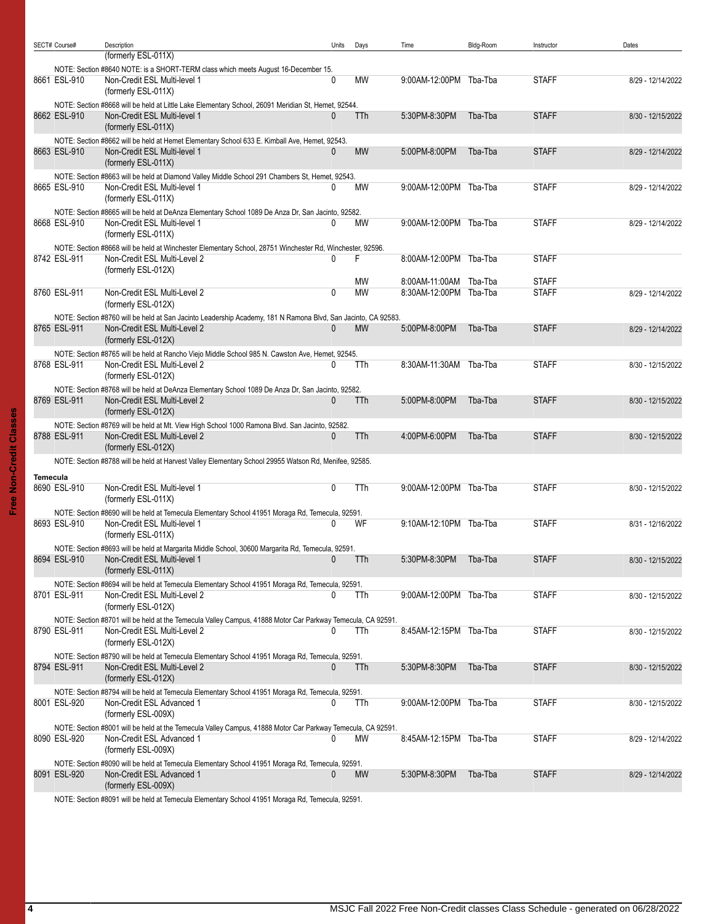|          | SECT# Course# | Description                                                                                                                                   | Units        | Days       | Time                   | Bldg-Room | Instructor   | Dates             |
|----------|---------------|-----------------------------------------------------------------------------------------------------------------------------------------------|--------------|------------|------------------------|-----------|--------------|-------------------|
|          |               | (formerly ESL-011X)                                                                                                                           |              |            |                        |           |              |                   |
|          |               | NOTE: Section #8640 NOTE: is a SHORT-TERM class which meets August 16-December 15.                                                            |              |            |                        |           |              |                   |
|          | 8661 ESL-910  | Non-Credit ESL Multi-level 1                                                                                                                  | 0            | МW         | 9:00AM-12:00PM Tba-Tba |           | <b>STAFF</b> | 8/29 - 12/14/2022 |
|          |               | (formerly ESL-011X)                                                                                                                           |              |            |                        |           |              |                   |
|          |               | NOTE: Section #8668 will be held at Little Lake Elementary School, 26091 Meridian St, Hemet, 92544.                                           |              |            |                        |           |              |                   |
|          | 8662 ESL-910  | Non-Credit ESL Multi-level 1                                                                                                                  | 0            | TTh        | 5:30PM-8:30PM          | Tba-Tba   | <b>STAFF</b> | 8/30 - 12/15/2022 |
|          |               | (formerly ESL-011X)                                                                                                                           |              |            |                        |           |              |                   |
|          |               | NOTE: Section #8662 will be held at Hemet Elementary School 633 E. Kimball Ave, Hemet, 92543.                                                 |              |            |                        |           |              |                   |
|          | 8663 ESL-910  | Non-Credit ESL Multi-level 1                                                                                                                  | 0            | <b>MW</b>  | 5:00PM-8:00PM          | Tba-Tba   | <b>STAFF</b> | 8/29 - 12/14/2022 |
|          |               | (formerly ESL-011X)                                                                                                                           |              |            |                        |           |              |                   |
|          |               | NOTE: Section #8663 will be held at Diamond Valley Middle School 291 Chambers St, Hemet, 92543.                                               |              |            |                        |           |              |                   |
|          | 8665 ESL-910  | Non-Credit ESL Multi-level 1                                                                                                                  | 0            | МW         | 9:00AM-12:00PM Tba-Tba |           | <b>STAFF</b> | 8/29 - 12/14/2022 |
|          |               | (formerly ESL-011X)                                                                                                                           |              |            |                        |           |              |                   |
|          |               | NOTE: Section #8665 will be held at DeAnza Elementary School 1089 De Anza Dr, San Jacinto, 92582.                                             |              |            |                        |           |              |                   |
|          | 8668 ESL-910  | Non-Credit ESL Multi-level 1                                                                                                                  | 0            | МW         | 9:00AM-12:00PM Tba-Tba |           | <b>STAFF</b> | 8/29 - 12/14/2022 |
|          |               | (formerly ESL-011X)                                                                                                                           |              |            |                        |           |              |                   |
|          |               |                                                                                                                                               |              |            |                        |           |              |                   |
|          | 8742 ESL-911  | NOTE: Section #8668 will be held at Winchester Elementary School, 28751 Winchester Rd, Winchester, 92596.<br>Non-Credit ESL Multi-Level 2     | 0            | F          | 8:00AM-12:00PM Tba-Tba |           | <b>STAFF</b> |                   |
|          |               | (formerly ESL-012X)                                                                                                                           |              |            |                        |           |              |                   |
|          |               |                                                                                                                                               |              | <b>MW</b>  | 8:00AM-11:00AM         | Tba-Tba   | <b>STAFF</b> |                   |
|          | 8760 ESL-911  | Non-Credit ESL Multi-Level 2                                                                                                                  | 0            | <b>MW</b>  | 8:30AM-12:00PM Tba-Tba |           | <b>STAFF</b> | 8/29 - 12/14/2022 |
|          |               | (formerly ESL-012X)                                                                                                                           |              |            |                        |           |              |                   |
|          |               |                                                                                                                                               |              |            |                        |           |              |                   |
|          | 8765 ESL-911  | NOTE: Section #8760 will be held at San Jacinto Leadership Academy, 181 N Ramona Blvd, San Jacinto, CA 92583.<br>Non-Credit ESL Multi-Level 2 | 0            | <b>MW</b>  | 5:00PM-8:00PM          | Tba-Tba   | <b>STAFF</b> | 8/29 - 12/14/2022 |
|          |               | (formerly ESL-012X)                                                                                                                           |              |            |                        |           |              |                   |
|          |               |                                                                                                                                               |              |            |                        |           |              |                   |
|          |               | NOTE: Section #8765 will be held at Rancho Viejo Middle School 985 N. Cawston Ave, Hemet, 92545.                                              |              |            |                        |           |              |                   |
|          | 8768 ESL-911  | Non-Credit ESL Multi-Level 2                                                                                                                  | 0            | TTh        | 8:30AM-11:30AM Tba-Tba |           | <b>STAFF</b> | 8/30 - 12/15/2022 |
|          |               | (formerly ESL-012X)                                                                                                                           |              |            |                        |           |              |                   |
|          |               | NOTE: Section #8768 will be held at DeAnza Elementary School 1089 De Anza Dr, San Jacinto, 92582.                                             |              |            |                        |           |              |                   |
|          | 8769 ESL-911  | Non-Credit ESL Multi-Level 2                                                                                                                  | 0            | TTh        | 5:00PM-8:00PM          | Tba-Tba   | <b>STAFF</b> | 8/30 - 12/15/2022 |
|          |               | (formerly ESL-012X)                                                                                                                           |              |            |                        |           |              |                   |
|          |               | NOTE: Section #8769 will be held at Mt. View High School 1000 Ramona Blvd. San Jacinto, 92582.                                                |              |            |                        |           |              |                   |
|          | 8788 ESL-911  | Non-Credit ESL Multi-Level 2                                                                                                                  | $\mathbf{0}$ | TTh        | 4:00PM-6:00PM          | Tba-Tba   | <b>STAFF</b> | 8/30 - 12/15/2022 |
|          |               | (formerly ESL-012X)                                                                                                                           |              |            |                        |           |              |                   |
|          |               | NOTE: Section #8788 will be held at Harvest Valley Elementary School 29955 Watson Rd, Menifee, 92585.                                         |              |            |                        |           |              |                   |
| Temecula |               |                                                                                                                                               |              |            |                        |           |              |                   |
|          | 8690 ESL-910  | Non-Credit ESL Multi-level 1                                                                                                                  | 0            | TTh        | 9:00AM-12:00PM Tba-Tba |           | <b>STAFF</b> | 8/30 - 12/15/2022 |
|          |               | (formerly ESL-011X)                                                                                                                           |              |            |                        |           |              |                   |
|          |               | NOTE: Section #8690 will be held at Temecula Elementary School 41951 Moraga Rd, Temecula, 92591.                                              |              |            |                        |           |              |                   |
|          | 8693 ESL-910  | Non-Credit ESL Multi-level 1                                                                                                                  | 0            | WF         | 9:10AM-12:10PM Tba-Tba |           | <b>STAFF</b> | 8/31 - 12/16/2022 |
|          |               | (formerly ESL-011X)                                                                                                                           |              |            |                        |           |              |                   |
|          |               | NOTE: Section #8693 will be held at Margarita Middle School, 30600 Margarita Rd, Temecula, 92591.                                             |              |            |                        |           |              |                   |
|          | 8694 ESL-910  | Non-Credit ESL Multi-level 1                                                                                                                  |              | <b>TTh</b> | 5:30PM-8:30PM          | Tba-Tba   | <b>STAFF</b> | 8/30 - 12/15/2022 |
|          |               | (formerly ESL-011X)                                                                                                                           |              |            |                        |           |              |                   |
|          |               | NOTE: Section #8694 will be held at Temecula Elementary School 41951 Moraga Rd, Temecula, 92591.                                              |              |            |                        |           |              |                   |
|          | 8701 ESL-911  | Non-Credit ESL Multi-Level 2                                                                                                                  | 0            | TTh        | 9:00AM-12:00PM Tba-Tba |           | <b>STAFF</b> | 8/30 - 12/15/2022 |
|          |               | (formerly ESL-012X)                                                                                                                           |              |            |                        |           |              |                   |
|          |               | NOTE: Section #8701 will be held at the Temecula Valley Campus, 41888 Motor Car Parkway Temecula, CA 92591.                                   |              |            |                        |           |              |                   |
|          | 8790 ESL-911  | Non-Credit ESL Multi-Level 2                                                                                                                  | 0            | TTh        | 8:45AM-12:15PM Tba-Tba |           | <b>STAFF</b> | 8/30 - 12/15/2022 |
|          |               | (formerly ESL-012X)                                                                                                                           |              |            |                        |           |              |                   |
|          |               | NOTE: Section #8790 will be held at Temecula Elementary School 41951 Moraga Rd, Temecula, 92591.                                              |              |            |                        |           |              |                   |
|          | 8794 ESL-911  | Non-Credit ESL Multi-Level 2                                                                                                                  | 0            | TTh        | 5:30PM-8:30PM          | Tba-Tba   | <b>STAFF</b> | 8/30 - 12/15/2022 |
|          |               | (formerly ESL-012X)                                                                                                                           |              |            |                        |           |              |                   |
|          |               | NOTE: Section #8794 will be held at Temecula Elementary School 41951 Moraga Rd, Temecula, 92591.                                              |              |            |                        |           |              |                   |
|          | 8001 ESL-920  | Non-Credit ESL Advanced 1                                                                                                                     | 0            | TTh        | 9:00AM-12:00PM Tba-Tba |           | <b>STAFF</b> | 8/30 - 12/15/2022 |
|          |               | (formerly ESL-009X)                                                                                                                           |              |            |                        |           |              |                   |
|          |               |                                                                                                                                               |              |            |                        |           |              |                   |
|          | 8090 ESL-920  | NOTE: Section #8001 will be held at the Temecula Valley Campus, 41888 Motor Car Parkway Temecula, CA 92591.<br>Non-Credit ESL Advanced 1      | 0            | МW         | 8:45AM-12:15PM Tba-Tba |           | <b>STAFF</b> | 8/29 - 12/14/2022 |
|          |               | (formerly ESL-009X)                                                                                                                           |              |            |                        |           |              |                   |
|          |               |                                                                                                                                               |              |            |                        |           |              |                   |
|          | 8091 ESL-920  | NOTE: Section #8090 will be held at Temecula Elementary School 41951 Moraga Rd, Temecula, 92591.<br>Non-Credit ESL Advanced 1                 | 0            | <b>MW</b>  | 5:30PM-8:30PM          | Tba-Tba   | <b>STAFF</b> | 8/29 - 12/14/2022 |
|          |               | (formerly ESL-009X)                                                                                                                           |              |            |                        |           |              |                   |
|          |               |                                                                                                                                               |              |            |                        |           |              |                   |

NOTE: Section #8091 will be held at Temecula Elementary School 41951 Moraga Rd, Temecula, 92591.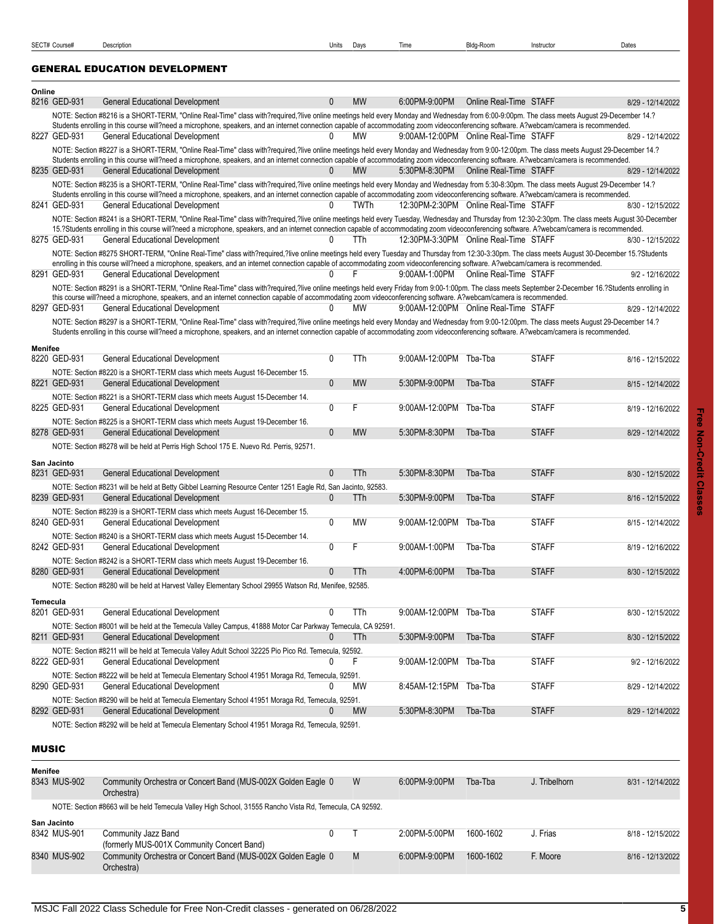## <span id="page-4-0"></span>GENERAL EDUCATION DEVELOPMENT

<span id="page-4-1"></span>

| Online       |                             |                                                                                                                                                                                                                                                                                                                                                                                                                                    |                |             |                                       |                        |              |                    |
|--------------|-----------------------------|------------------------------------------------------------------------------------------------------------------------------------------------------------------------------------------------------------------------------------------------------------------------------------------------------------------------------------------------------------------------------------------------------------------------------------|----------------|-------------|---------------------------------------|------------------------|--------------|--------------------|
|              | 8216 GED-931                | <b>General Educational Development</b>                                                                                                                                                                                                                                                                                                                                                                                             | 0              | <b>MW</b>   | 6:00PM-9:00PM                         | Online Real-Time STAFF |              | 8/29 - 12/14/2022  |
|              |                             | NOTE: Section #8216 is a SHORT-TERM, "Online Real-Time" class with?required,?live online meetings held every Monday and Wednesday from 6:00-9:00pm. The class meets August 29-December 14.?<br>Students enrolling in this course will?need a microphone, speakers, and an internet connection capable of accommodating zoom videoconferencing software. A?webcam/camera is recommended.                                            | $\mathbf{0}$   | <b>MW</b>   |                                       |                        |              |                    |
|              | 8227 GED-931                | <b>General Educational Development</b>                                                                                                                                                                                                                                                                                                                                                                                             |                |             | 9:00AM-12:00PM Online Real-Time STAFF |                        |              | 8/29 - 12/14/2022  |
|              | 8235 GED-931                | NOTE: Section #8227 is a SHORT-TERM, "Online Real-Time" class with?required,?live online meetings held every Monday and Wednesday from 9:00-12:00pm. The class meets August 29-December 14.?<br>Students enrolling in this course will?need a microphone, speakers, and an internet connection capable of accommodating zoom videoconferencing software. A?webcam/camera is recommended.<br><b>General Educational Development</b> | $\mathbf{0}$   | <b>MW</b>   | 5:30PM-8:30PM                         | Online Real-Time STAFF |              | 8/29 - 12/14/2022  |
|              |                             | NOTE: Section #8235 is a SHORT-TERM, "Online Real-Time" class with?required,?live online meetings held every Monday and Wednesday from 5:30-8:30pm. The class meets August 29-December 14.?                                                                                                                                                                                                                                        |                |             |                                       |                        |              |                    |
|              | 8241 GED-931                | Students enrolling in this course will?need a microphone, speakers, and an internet connection capable of accommodating zoom videoconferencing software. A?webcam/camera is recommended.<br><b>General Educational Development</b>                                                                                                                                                                                                 | 0              | <b>TWTh</b> | 12:30PM-2:30PM Online Real-Time STAFF |                        |              | 8/30 - 12/15/2022  |
|              |                             | NOTE: Section #8241 is a SHORT-TERM, "Online Real-Time" class with?required,?live online meetings held every Tuesday, Wednesday and Thursday from 12:30-2:30pm. The class meets August 30-December                                                                                                                                                                                                                                 |                |             |                                       |                        |              |                    |
|              | 8275 GED-931                | 15.?Students enrolling in this course will?need a microphone, speakers, and an internet connection capable of accommodating zoom videoconferencing software. A?webcam/camera is recommended.<br><b>General Educational Development</b>                                                                                                                                                                                             | 0              | TTh         | 12:30PM-3:30PM Online Real-Time STAFF |                        |              | 8/30 - 12/15/2022  |
|              |                             | NOTE: Section #8275 SHORT-TERM, "Online Real-Time" class with?required,?live online meetings held every Tuesday and Thursday from 12:30-3:30pm. The class meets August 30-December 15.?Students                                                                                                                                                                                                                                    |                |             |                                       |                        |              |                    |
|              | 8291 GED-931                | enrolling in this course will?need a microphone, speakers, and an internet connection capable of accommodating zoom videoconferencing software. A?webcam/camera is recommended.<br><b>General Educational Development</b>                                                                                                                                                                                                          | <sup>n</sup>   | F           | 9:00AM-1:00PM Online Real-Time STAFF  |                        |              | 9/2 - 12/16/2022   |
|              |                             | NOTE: Section #8291 is a SHORT-TERM, "Online Real-Time" class with?required,?live online meetings held every Friday from 9:00-1:00pm. The class meets September 2-December 16.?Students enrolling in                                                                                                                                                                                                                               |                |             |                                       |                        |              |                    |
|              |                             | this course will?need a microphone, speakers, and an internet connection capable of accommodating zoom videoconferencing software. A?webcam/camera is recommended.                                                                                                                                                                                                                                                                 |                |             |                                       |                        |              |                    |
|              | 8297 GED-931                | <b>General Educational Development</b>                                                                                                                                                                                                                                                                                                                                                                                             | <sup>0</sup>   | МW          | 9:00AM-12:00PM Online Real-Time STAFF |                        |              | 8/29 - 12/14/2022  |
|              |                             | NOTE: Section #8297 is a SHORT-TERM, "Online Real-Time" class with?required,?live online meetings held every Monday and Wednesday from 9:00-12:00pm. The class meets August 29-December 14.?<br>Students enrolling in this course will?need a microphone, speakers, and an internet connection capable of accommodating zoom videoconferencing software. A?webcam/camera is recommended.                                           |                |             |                                       |                        |              |                    |
|              |                             |                                                                                                                                                                                                                                                                                                                                                                                                                                    |                |             |                                       |                        |              |                    |
| Menifee      | 8220 GED-931                | <b>General Educational Development</b>                                                                                                                                                                                                                                                                                                                                                                                             | 0              | TTh         | 9:00AM-12:00PM Tba-Tba                |                        | <b>STAFF</b> | 8/16 - 12/15/2022  |
|              |                             |                                                                                                                                                                                                                                                                                                                                                                                                                                    |                |             |                                       |                        |              |                    |
|              | 8221 GED-931                | NOTE: Section #8220 is a SHORT-TERM class which meets August 16-December 15.<br><b>General Educational Development</b>                                                                                                                                                                                                                                                                                                             | $\mathbf{0}$   | <b>MW</b>   | 5:30PM-9:00PM                         | Tba-Tba                | <b>STAFF</b> | 8/15 - 12/14/2022  |
|              |                             | NOTE: Section #8221 is a SHORT-TERM class which meets August 15-December 14.                                                                                                                                                                                                                                                                                                                                                       |                |             |                                       |                        |              |                    |
|              | 8225 GED-931                | <b>General Educational Development</b>                                                                                                                                                                                                                                                                                                                                                                                             | $\overline{0}$ | F           | 9:00AM-12:00PM                        | Tba-Tba                | <b>STAFF</b> | 8/19 - 12/16/2022  |
|              | 8278 GED-931                | NOTE: Section #8225 is a SHORT-TERM class which meets August 19-December 16.<br><b>General Educational Development</b>                                                                                                                                                                                                                                                                                                             | $\mathbf{0}$   | <b>MW</b>   | 5:30PM-8:30PM                         | Tba-Tba                | <b>STAFF</b> | 8/29 - 12/14/2022  |
|              |                             | NOTE: Section #8278 will be held at Perris High School 175 E. Nuevo Rd. Perris, 92571.                                                                                                                                                                                                                                                                                                                                             |                |             |                                       |                        |              |                    |
|              |                             |                                                                                                                                                                                                                                                                                                                                                                                                                                    |                |             |                                       |                        |              |                    |
|              | San Jacinto<br>8231 GED-931 | <b>General Educational Development</b>                                                                                                                                                                                                                                                                                                                                                                                             | $\mathbf{0}$   | TTh         | 5:30PM-8:30PM                         | Tba-Tba                | <b>STAFF</b> | 8/30 - 12/15/2022  |
|              |                             | NOTE: Section #8231 will be held at Betty Gibbel Learning Resource Center 1251 Eagle Rd, San Jacinto, 92583.                                                                                                                                                                                                                                                                                                                       |                |             |                                       |                        |              |                    |
|              | 8239 GED-931                | <b>General Educational Development</b>                                                                                                                                                                                                                                                                                                                                                                                             | 0              | TTh         | 5:30PM-9.00PM                         | Tba-Tba                | <b>STAFF</b> | 8/16 - 12/15/2022  |
|              |                             | NOTE: Section #8239 is a SHORT-TERM class which meets August 16-December 15.                                                                                                                                                                                                                                                                                                                                                       |                |             |                                       |                        |              |                    |
|              | 8240 GED-931                | <b>General Educational Development</b>                                                                                                                                                                                                                                                                                                                                                                                             | 0              | <b>MW</b>   | 9:00AM-12:00PM                        | Tba-Tba                | <b>STAFF</b> | 8/15 - 12/14/2022  |
|              |                             | NOTE: Section #8240 is a SHORT-TERM class which meets August 15-December 14.                                                                                                                                                                                                                                                                                                                                                       |                |             |                                       |                        |              |                    |
|              | 8242 GED-931                | <b>General Educational Development</b>                                                                                                                                                                                                                                                                                                                                                                                             | 0              | F           | 9:00AM-1:00PM                         | Tba-Tba                | <b>STAFF</b> | 8/19 - 12/16/2022  |
|              | 8280 GED-931                | NOTE: Section #8242 is a SHORT-TERM class which meets August 19-December 16.<br><b>General Educational Development</b>                                                                                                                                                                                                                                                                                                             | $\mathbf 0$    | TTh         | 4:00PM-6:00PM                         | Tba-Tba                | <b>STAFF</b> |                    |
|              |                             |                                                                                                                                                                                                                                                                                                                                                                                                                                    |                |             |                                       |                        |              | 8/30 - 12/15/2022  |
|              |                             | NOTE: Section #8280 will be held at Harvest Valley Elementary School 29955 Watson Rd, Menifee, 92585.                                                                                                                                                                                                                                                                                                                              |                |             |                                       |                        |              |                    |
| Temecula     | 8201 GED-931                |                                                                                                                                                                                                                                                                                                                                                                                                                                    | 0              |             |                                       |                        |              |                    |
|              |                             | <b>General Educational Development</b>                                                                                                                                                                                                                                                                                                                                                                                             |                | TTh         | 9:00AM-12:00PM Tba-Tba                |                        | <b>STAFF</b> | 8/30 - 12/15/2022  |
|              | 8211 GED-931                | NOTE: Section #8001 will be held at the Temecula Valley Campus, 41888 Motor Car Parkway Temecula, CA 92591.<br><b>General Educational Development</b>                                                                                                                                                                                                                                                                              | 0              | TTh         | 5:30PM-9:00PM                         | Tba-Tba                | <b>STAFF</b> | 8/30 - 12/15/2022  |
|              |                             | NOTE: Section #8211 will be held at Temecula Valley Adult School 32225 Pio Pico Rd. Temecula, 92592.                                                                                                                                                                                                                                                                                                                               |                |             |                                       |                        |              |                    |
|              | 8222 GED-931                | <b>General Educational Development</b>                                                                                                                                                                                                                                                                                                                                                                                             | 0              | F           | 9:00AM-12:00PM                        | Tba-Tba                | <b>STAFF</b> | 9/2 - 12/16/2022   |
|              |                             | NOTE: Section #8222 will be held at Temecula Elementary School 41951 Moraga Rd, Temecula, 92591.                                                                                                                                                                                                                                                                                                                                   |                |             |                                       |                        |              |                    |
|              | 8290 GED-931                | <b>General Educational Development</b>                                                                                                                                                                                                                                                                                                                                                                                             |                | МW          | 8:45AM-12:15PM Tba-Tba                |                        | <b>STAFF</b> | 8/29 - 12/14/2022  |
|              |                             | NOTE: Section #8290 will be held at Temecula Elementary School 41951 Moraga Rd, Temecula, 92591.                                                                                                                                                                                                                                                                                                                                   |                |             |                                       |                        |              |                    |
|              | 8292 GED-931                | <b>General Educational Development</b>                                                                                                                                                                                                                                                                                                                                                                                             | 0              | MW          | 5:30PM-8:30PM                         | Tba-Tba                | <b>STAFF</b> | 8/29 - 12/14/2022  |
|              |                             | NOTE: Section #8292 will be held at Temecula Elementary School 41951 Moraga Rd, Temecula, 92591.                                                                                                                                                                                                                                                                                                                                   |                |             |                                       |                        |              |                    |
| <b>MUSIC</b> |                             |                                                                                                                                                                                                                                                                                                                                                                                                                                    |                |             |                                       |                        |              |                    |
|              |                             |                                                                                                                                                                                                                                                                                                                                                                                                                                    |                |             |                                       |                        |              |                    |
| Menifee      | <b>8313 MIIC 000</b>        | Community Orchestra or Concort Rand (MLIS 002X Colden Fagle, 0                                                                                                                                                                                                                                                                                                                                                                     |                | M           | 6.00DM Q.00DM The The                 |                        | I Tribolborn | $0.21 - 121110000$ |